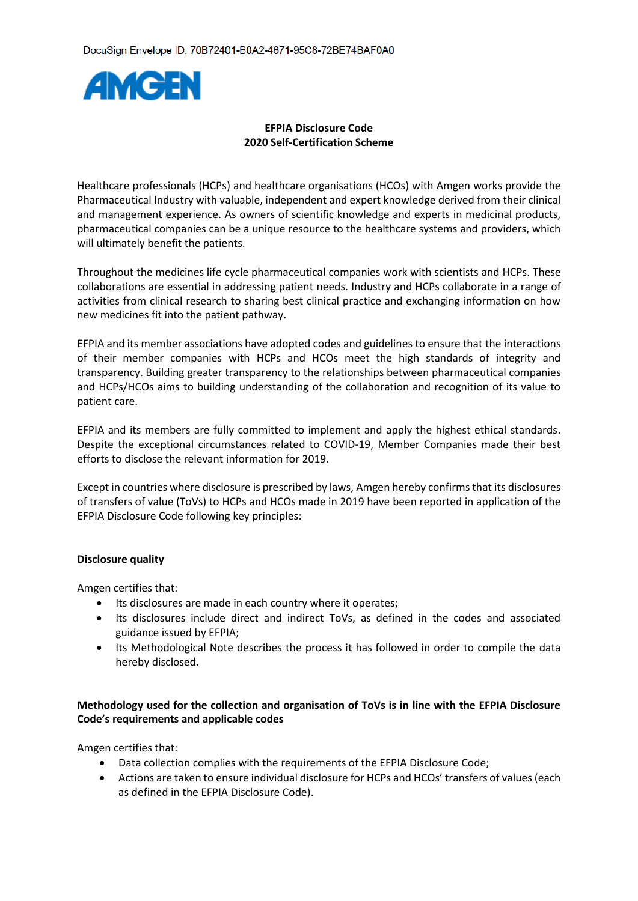

### **EFPIA Disclosure Code 2020 Self-Certification Scheme**

Healthcare professionals (HCPs) and healthcare organisations (HCOs) with Amgen works provide the Pharmaceutical Industry with valuable, independent and expert knowledge derived from their clinical and management experience. As owners of scientific knowledge and experts in medicinal products, pharmaceutical companies can be a unique resource to the healthcare systems and providers, which will ultimately benefit the patients.

Throughout the medicines life cycle pharmaceutical companies work with scientists and HCPs. These collaborations are essential in addressing patient needs. Industry and HCPs collaborate in a range of activities from clinical research to sharing best clinical practice and exchanging information on how new medicines fit into the patient pathway.

EFPIA and its member associations have adopted codes and guidelines to ensure that the interactions of their member companies with HCPs and HCOs meet the high standards of integrity and transparency. Building greater transparency to the relationships between pharmaceutical companies and HCPs/HCOs aims to building understanding of the collaboration and recognition of its value to patient care.

EFPIA and its members are fully committed to implement and apply the highest ethical standards. Despite the exceptional circumstances related to COVID-19, Member Companies made their best efforts to disclose the relevant information for 2019.

Except in countries where disclosure is prescribed by laws, Amgen hereby confirms that its disclosures of transfers of value (ToVs) to HCPs and HCOs made in 2019 have been reported in application of the EFPIA Disclosure Code following key principles:

### **Disclosure quality**

Amgen certifies that:

- Its disclosures are made in each country where it operates;
- Its disclosures include direct and indirect ToVs, as defined in the codes and associated guidance issued by EFPIA;
- Its Methodological Note describes the process it has followed in order to compile the data hereby disclosed.

## **Methodology used for the collection and organisation of ToVs is in line with the EFPIA Disclosure Code's requirements and applicable codes**

Amgen certifies that:

- Data collection complies with the requirements of the EFPIA Disclosure Code;
- Actions are taken to ensure individual disclosure for HCPs and HCOs' transfers of values (each as defined in the EFPIA Disclosure Code).